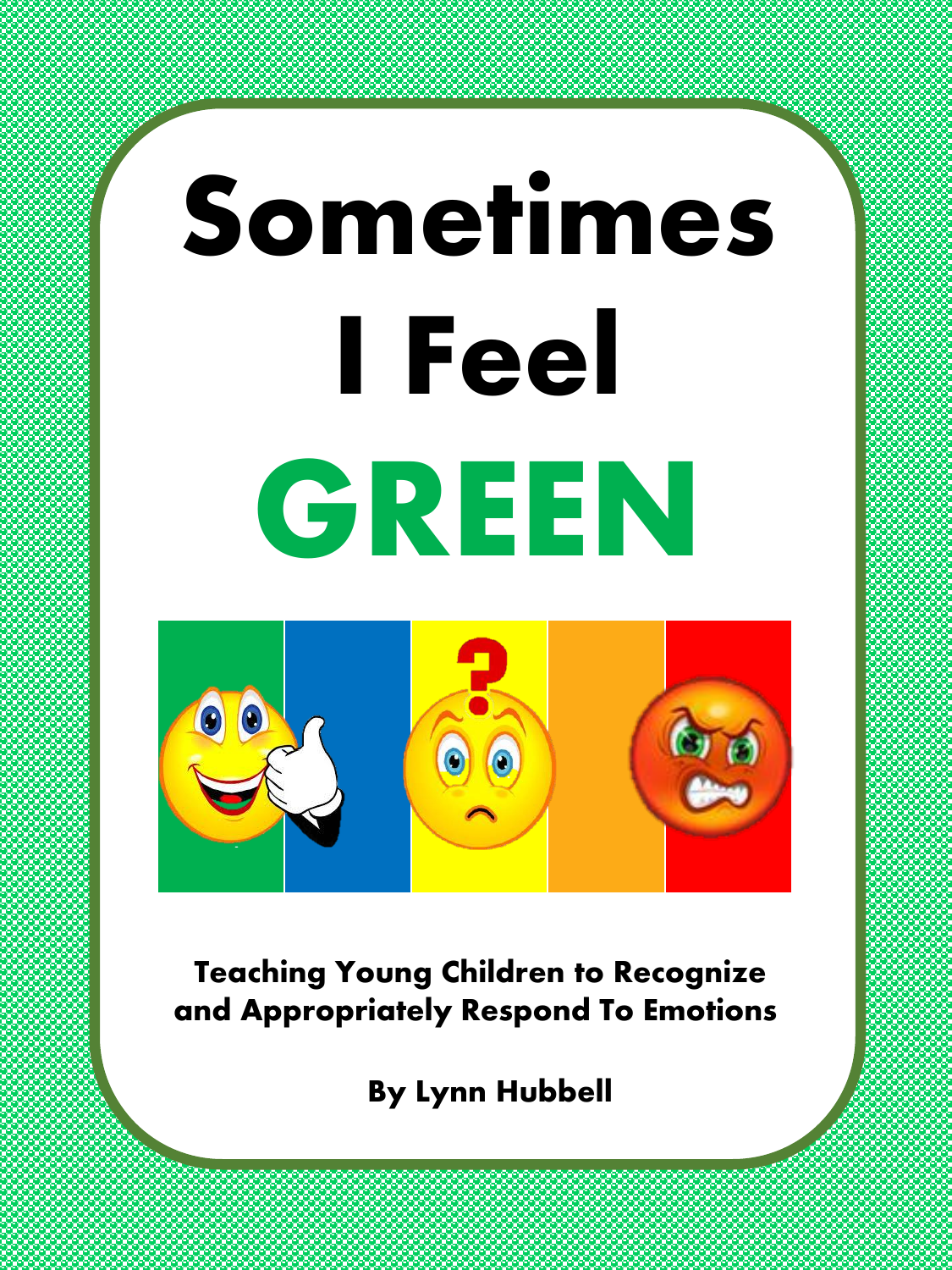# Sometimes I Feel **GREEN**



**Teaching Young Children to Recognize and Appropriately Respond To Emotions**

By Lynn Hubbell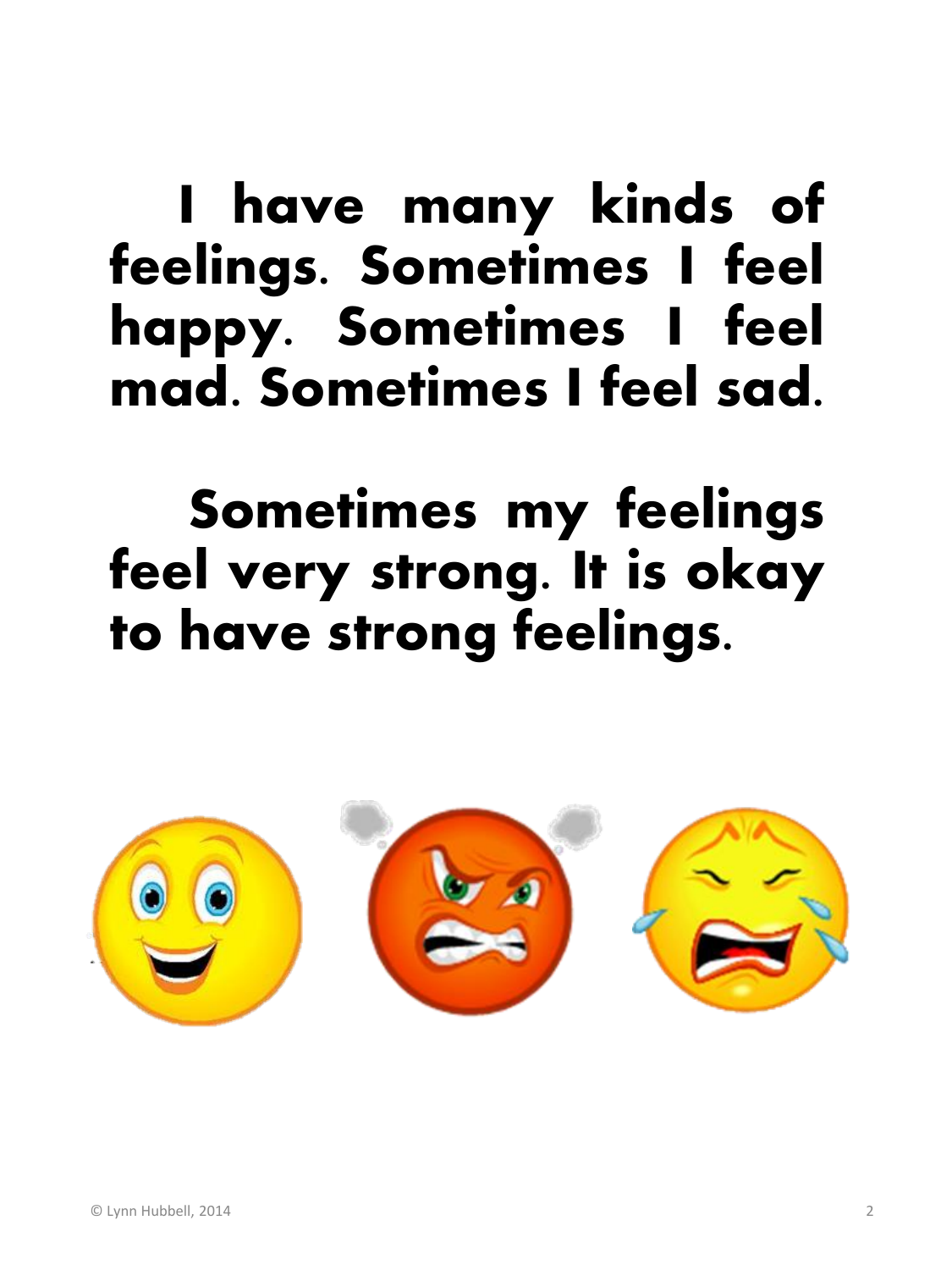### I have many kinds of feelings. Sometimes I feel happy. Sometimes I feel mad. Sometimes I feel sad.

### Sometimes my feelings feel very strong. It is okay to have strong feelings.

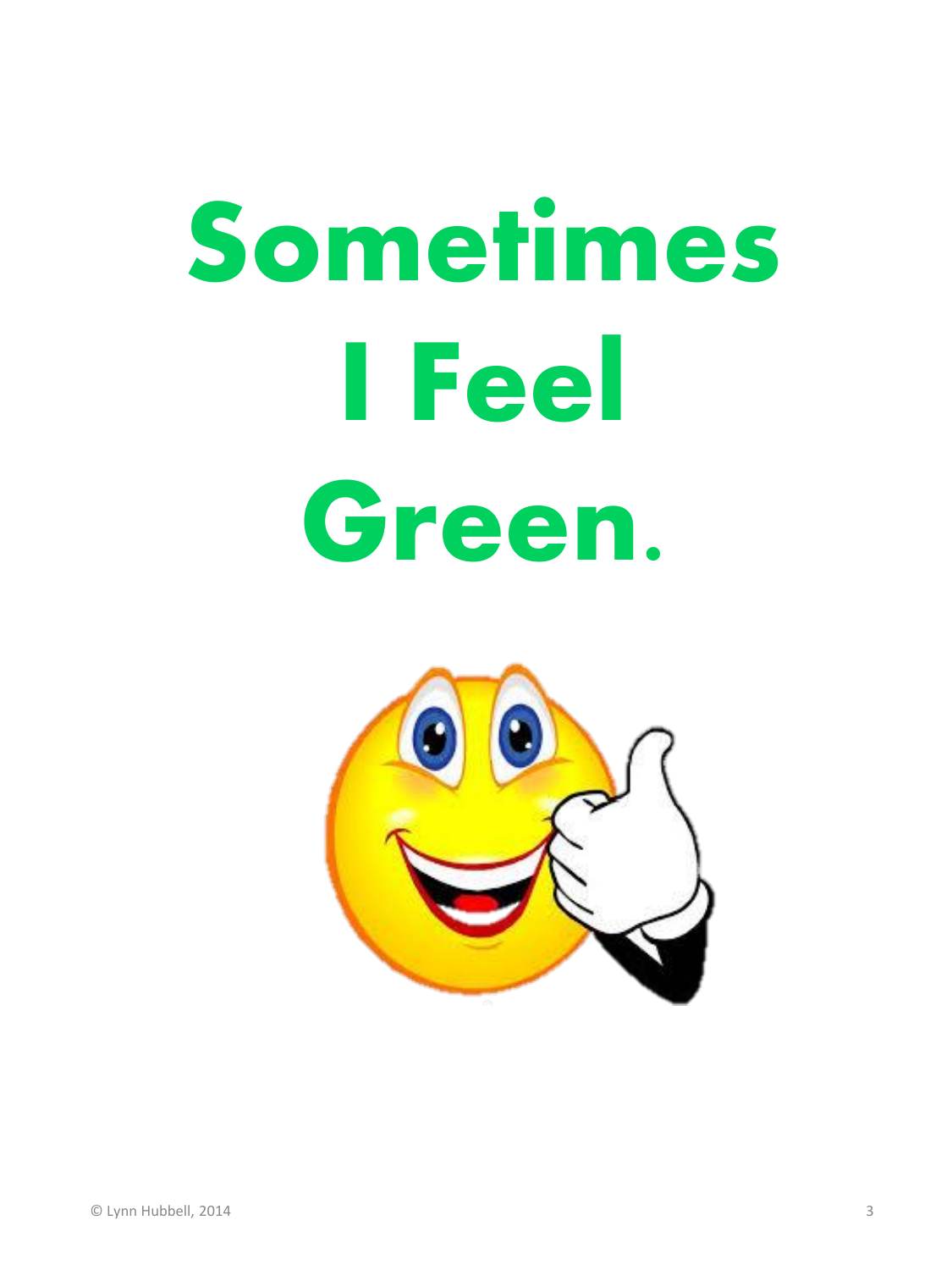## **Sometimes I Feel Green.**

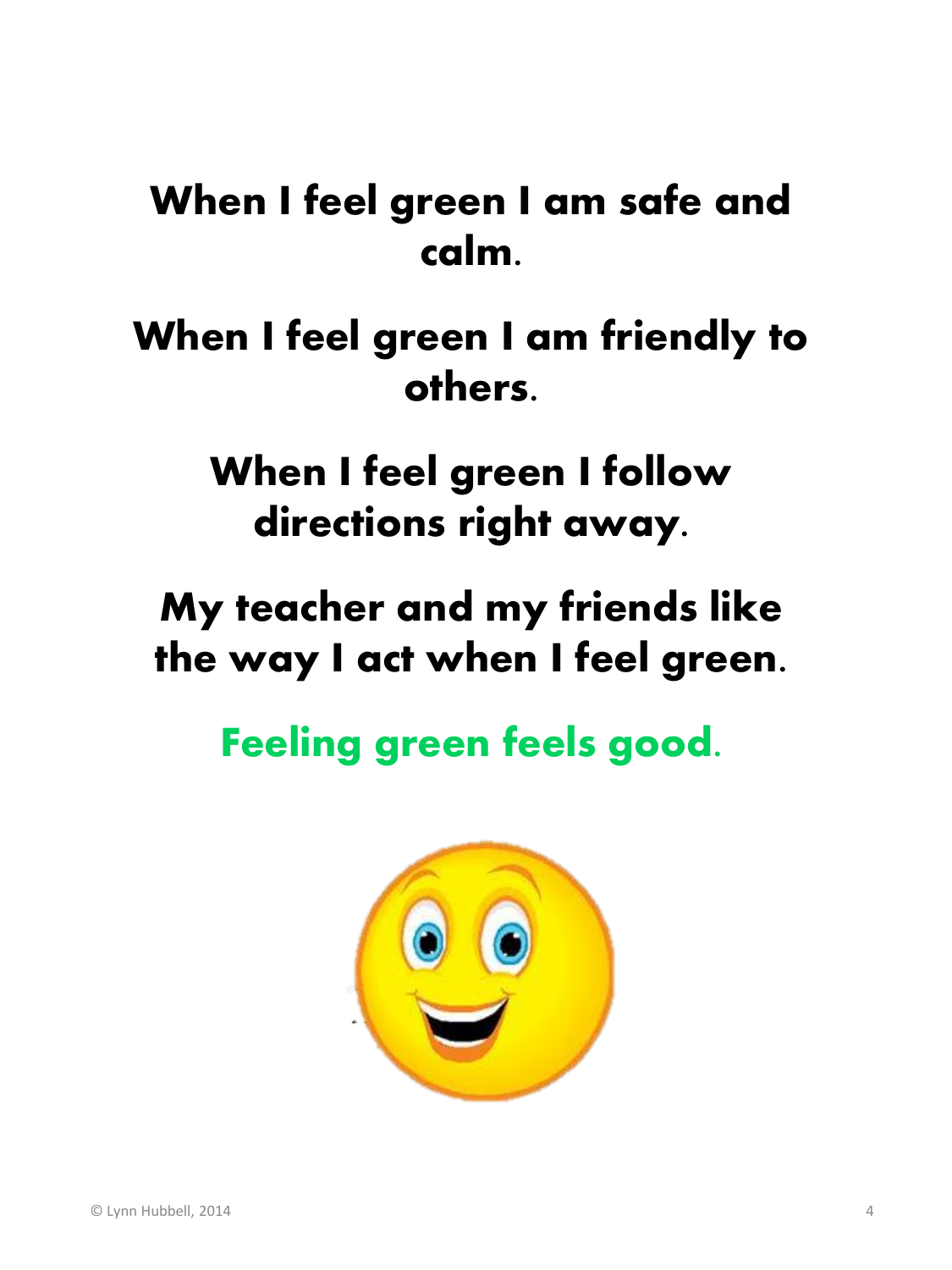#### When I feel green I am safe and calm.

#### When I feel green I am friendly to others.

When I feel green I follow directions right away.

My teacher and my friends like the way I act when I feel green.

**Feeling green feels good.** 

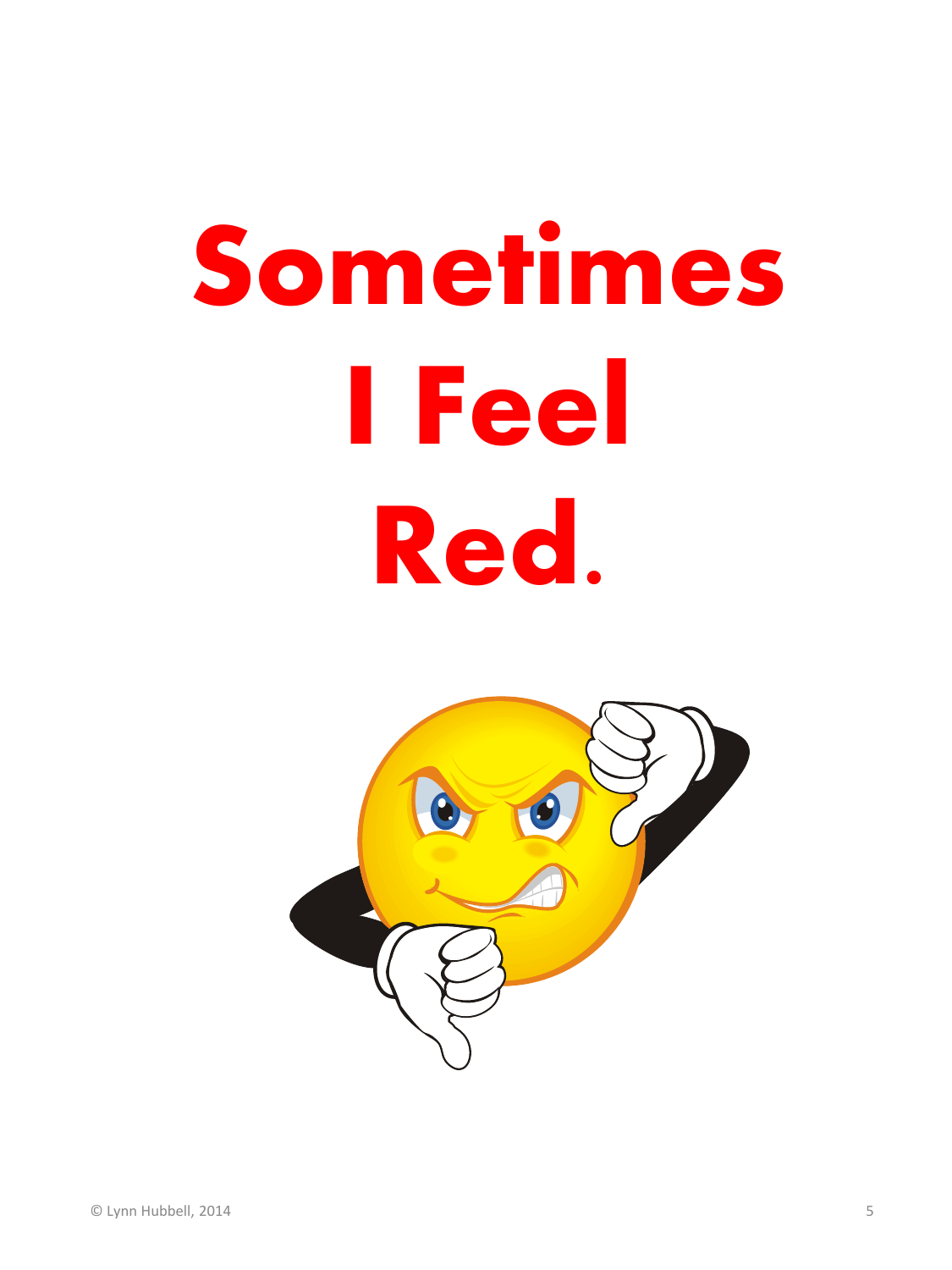## **Sometimes I Feel Red.**

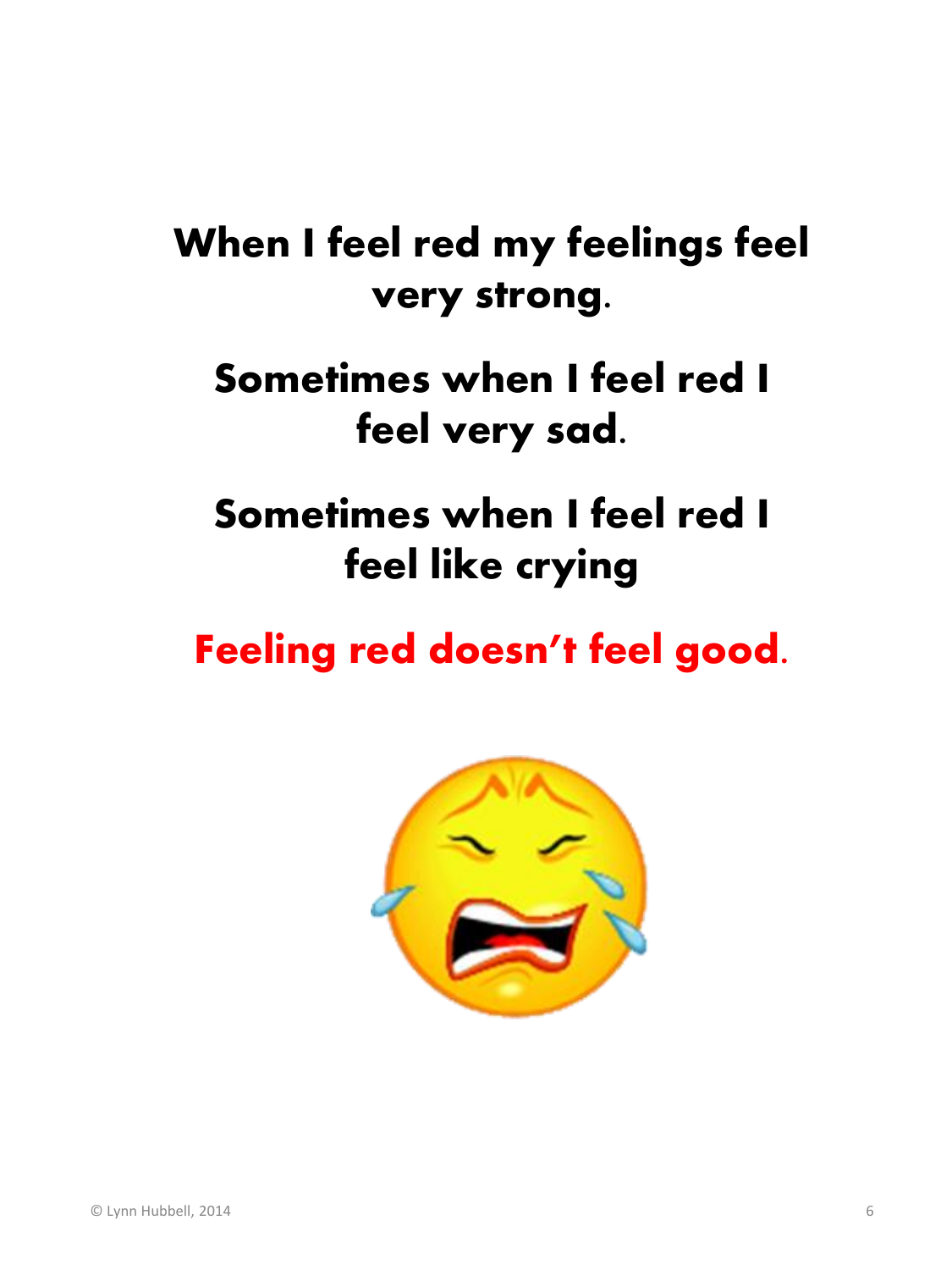#### When I feel red my feelings feel very strong.

#### Sometimes when I feel red I feel very sad.

#### Sometimes when I feel red I feel like crying

#### Feeling red doesn't feel good.

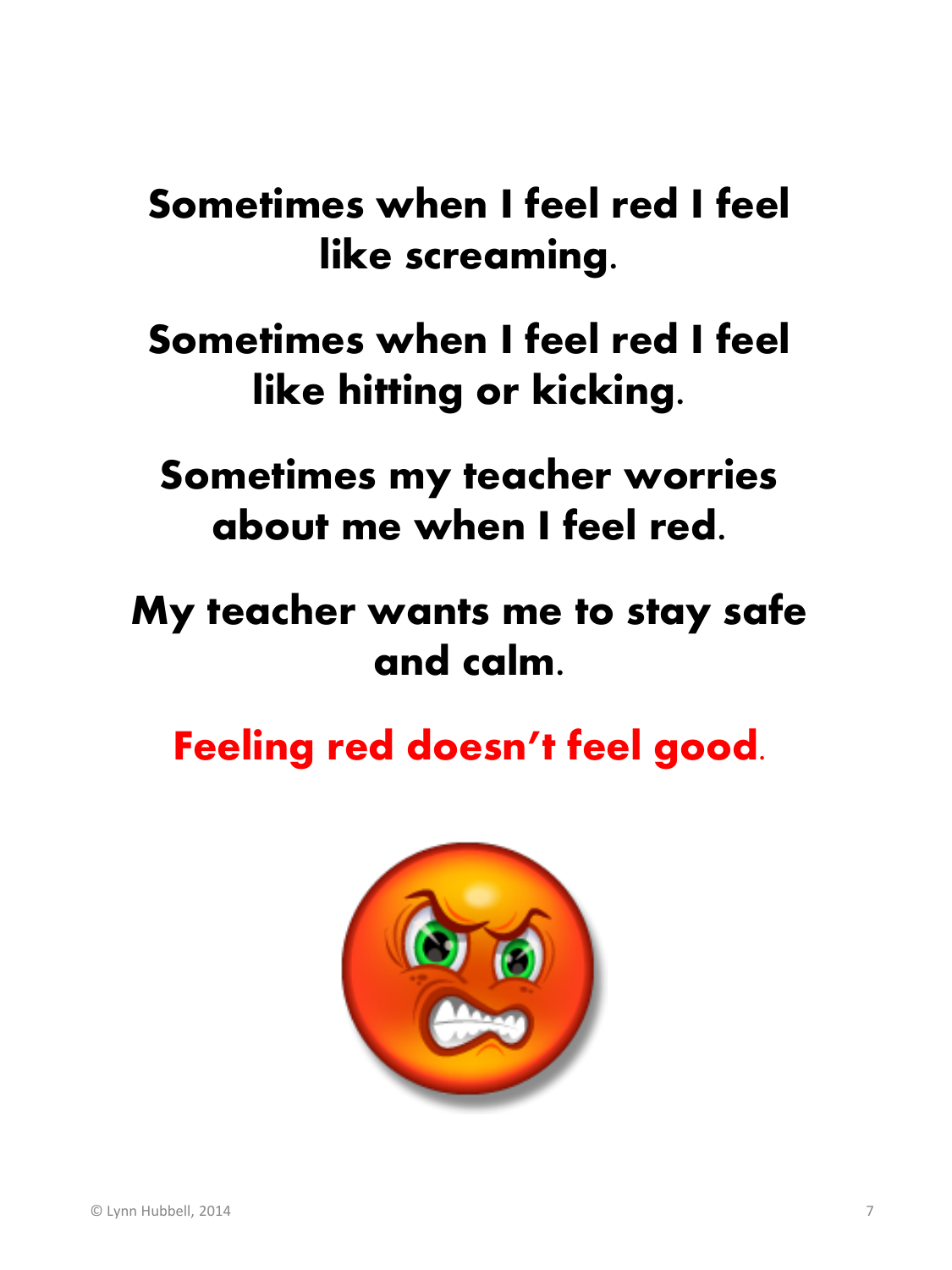#### Sometimes when I feel red I feel like screaming.

#### Sometimes when I feel red I feel like hitting or kicking.

Sometimes my teacher worries about me when I feel red.

#### My teacher wants me to stay safe and calm.

Feeling red doesn't feel good.

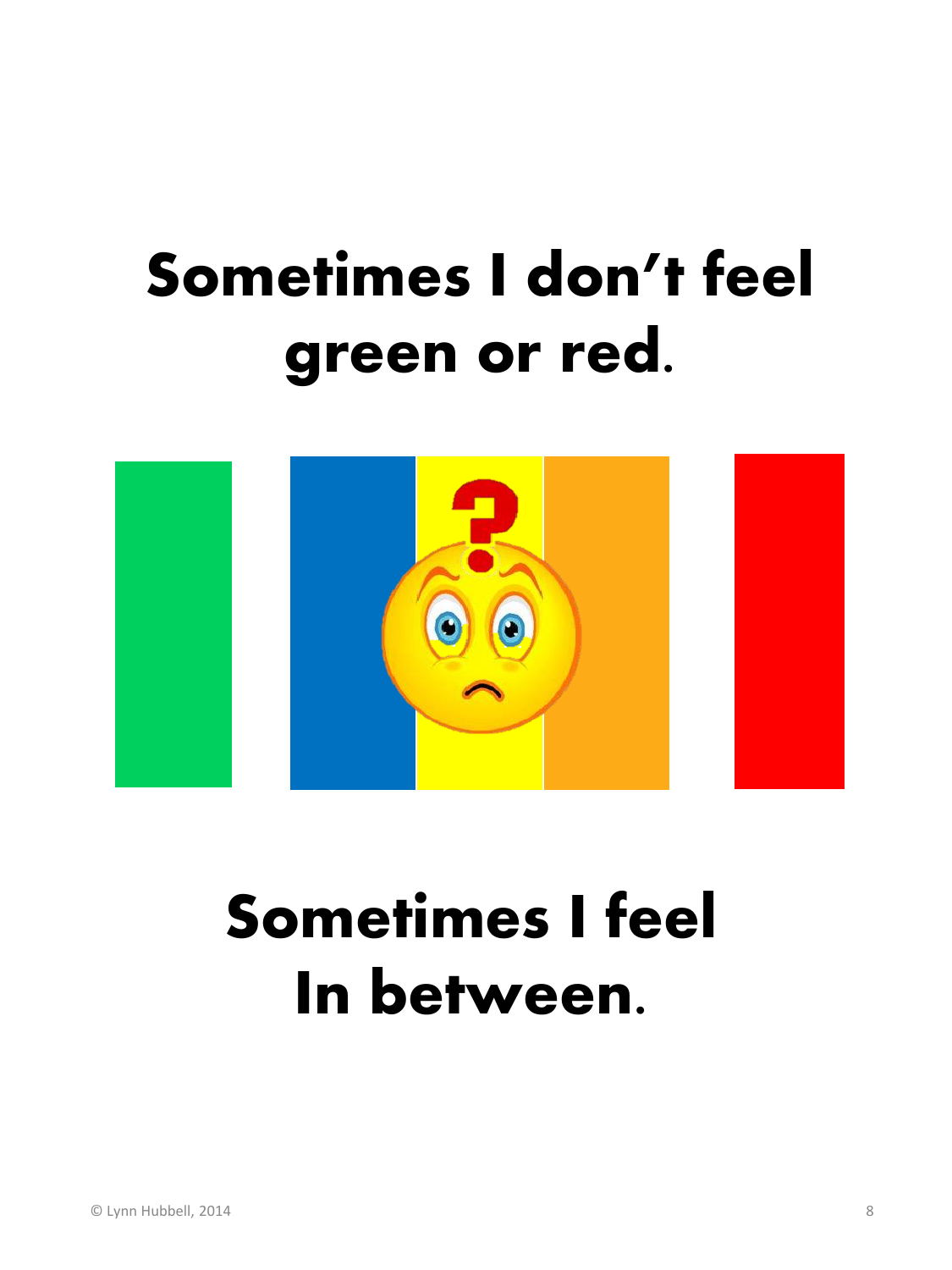## Sometimes I don't feel green or red.



## Sometimes I feel In between.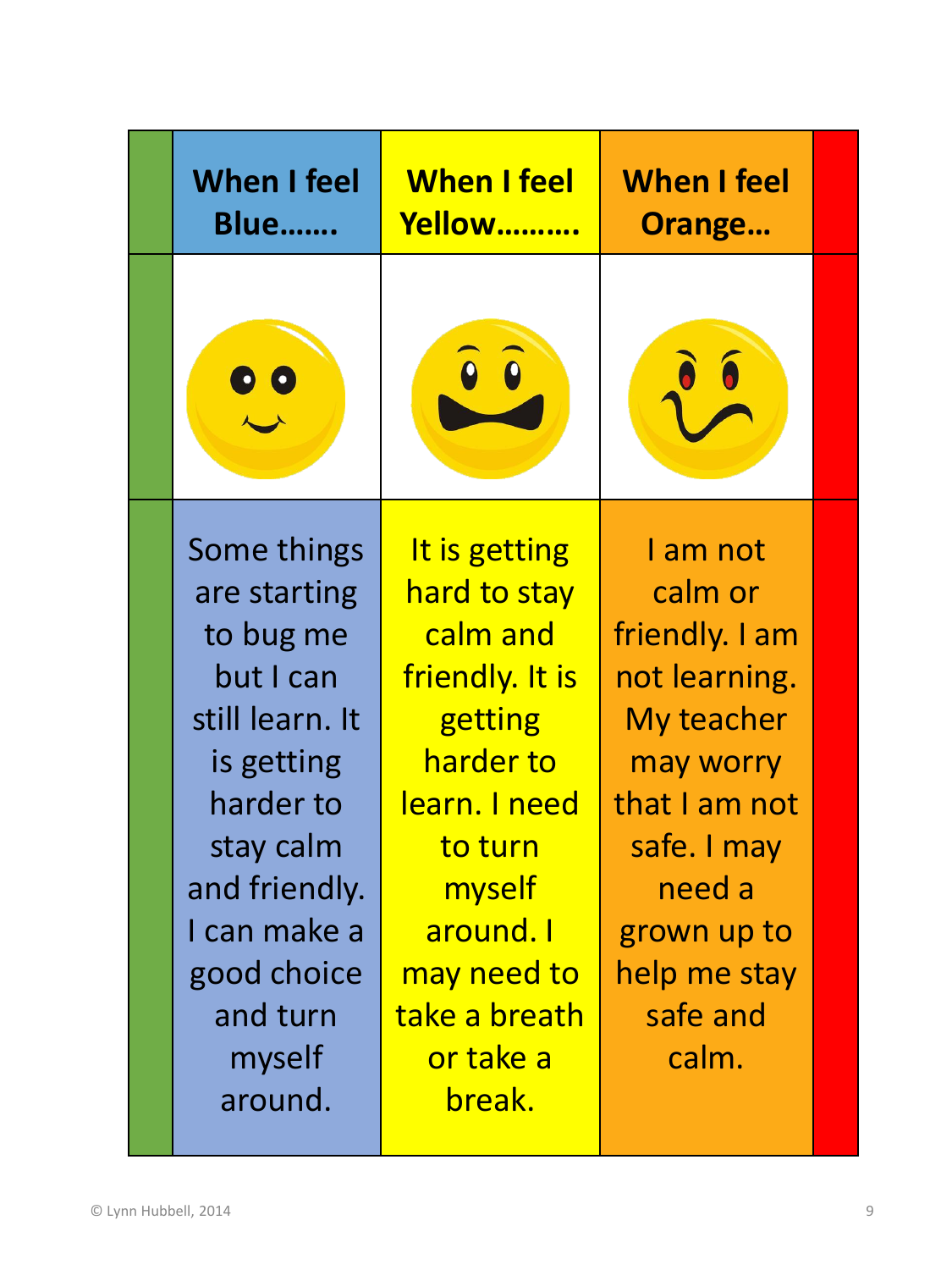| <b>When I feel</b><br><b>Blue</b>                                                                                                                                                                 | <b>When I feel</b><br><b>Yellow</b>                                                                                                                                                            | <b>When I feel</b><br>Orange                                                                                                                                                    |  |
|---------------------------------------------------------------------------------------------------------------------------------------------------------------------------------------------------|------------------------------------------------------------------------------------------------------------------------------------------------------------------------------------------------|---------------------------------------------------------------------------------------------------------------------------------------------------------------------------------|--|
|                                                                                                                                                                                                   |                                                                                                                                                                                                |                                                                                                                                                                                 |  |
| Some things<br>are starting<br>to bug me<br>but I can<br>still learn. It<br>is getting<br>harder to<br>stay calm<br>and friendly.<br>I can make a<br>good choice<br>and turn<br>myself<br>around. | It is getting<br>hard to stay<br>calm and<br>friendly. It is<br>getting<br>harder to<br>learn. I need<br>to turn<br>myself<br>around. I<br>may need to<br>take a breath<br>or take a<br>break. | I am not<br>calm or<br>friendly. I am<br>not learning.<br>My teacher<br>may worry<br>that I am not<br>safe. I may<br>need a<br>grown up to<br>help me stay<br>safe and<br>calm. |  |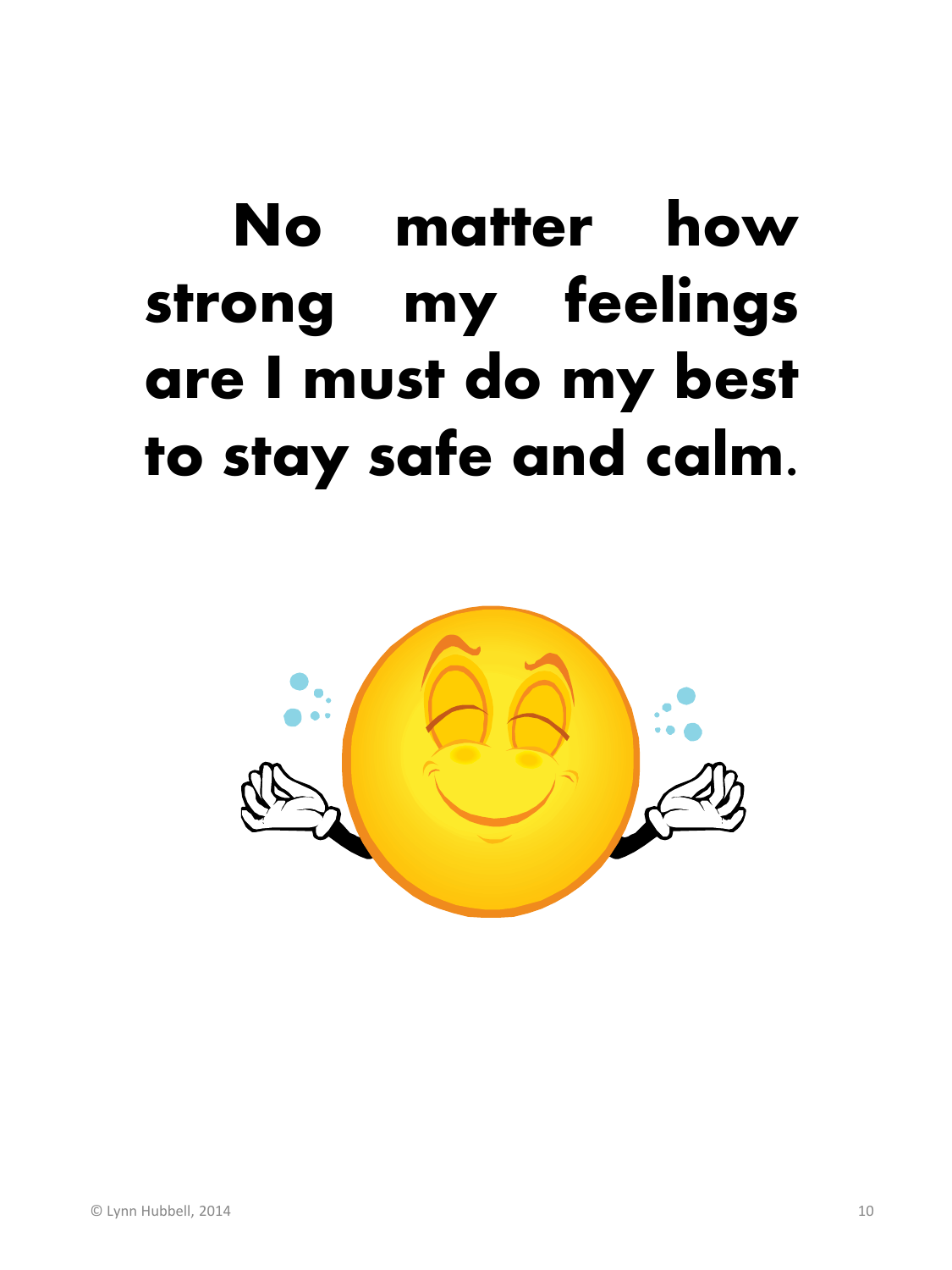## No matter how strong my feelings are I must do my best to stay safe and calm.